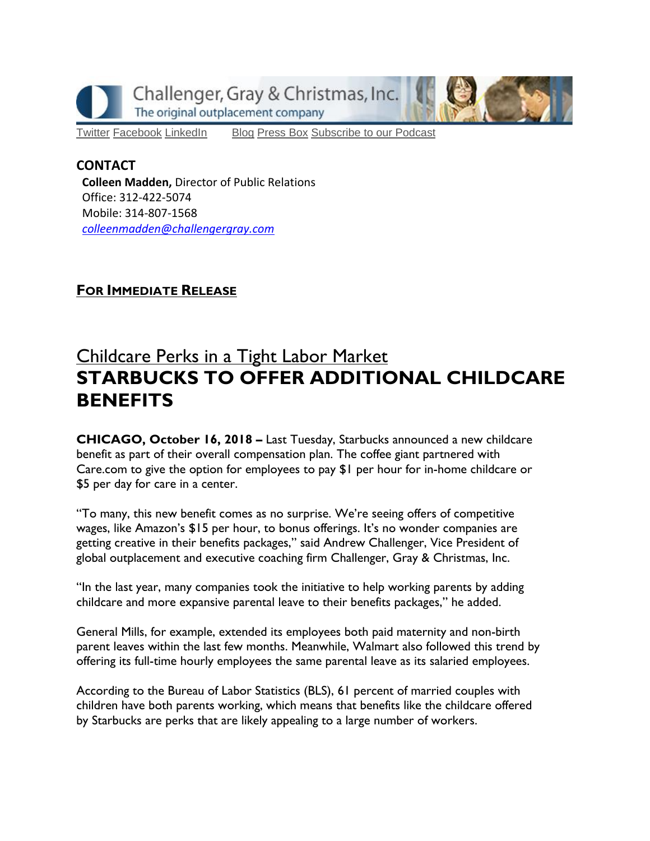

[Twitter](https://twitter.com/#!/ChallengerGray) [Facebook](https://www.facebook.com/ChallengerGray) [LinkedIn](http://www.linkedin.com/company/28264?trk=tyah) [Blog](http://www.challengergray.com/press/blog) [Press](http://www.challengergray.com/press/press-releases) Box [Subscribe](https://itunes.apple.com/us/podcast/challenger-podcast-hr-passport/id1155541697?mt=2) to our Podcast

## **CONTACT**

**Colleen Madden,** Director of Public Relations Office: 312-422-5074 Mobile: 314-807-1568 *[colleenmadden@challengergray.com](mailto:colleenmadden@challengergray.com)* 

## **FOR IMMEDIATE RELEASE**

## Childcare Perks in a Tight Labor Market **STARBUCKS TO OFFER ADDITIONAL CHILDCARE BENEFITS**

**CHICAGO, October 16, 2018 –** Last Tuesday, Starbucks announced a new childcare benefit as part of their overall compensation plan. The coffee giant partnered with Care.com to give the option for employees to pay \$1 per hour for in-home childcare or \$5 per day for care in a center.

"To many, this new benefit comes as no surprise. We're seeing offers of competitive wages, like Amazon's \$15 per hour, to bonus offerings. It's no wonder companies are getting creative in their benefits packages," said Andrew Challenger, Vice President of global outplacement and executive coaching firm Challenger, Gray & Christmas, Inc.

"In the last year, many companies took the initiative to help working parents by adding childcare and more expansive parental leave to their benefits packages," he added.

General Mills, for example, extended its employees both paid maternity and non-birth parent leaves within the last few months. Meanwhile, Walmart also followed this trend by offering its full-time hourly employees the same parental leave as its salaried employees.

According to the Bureau of Labor Statistics (BLS), 61 percent of married couples with children have both parents working, which means that benefits like the childcare offered by Starbucks are perks that are likely appealing to a large number of workers.